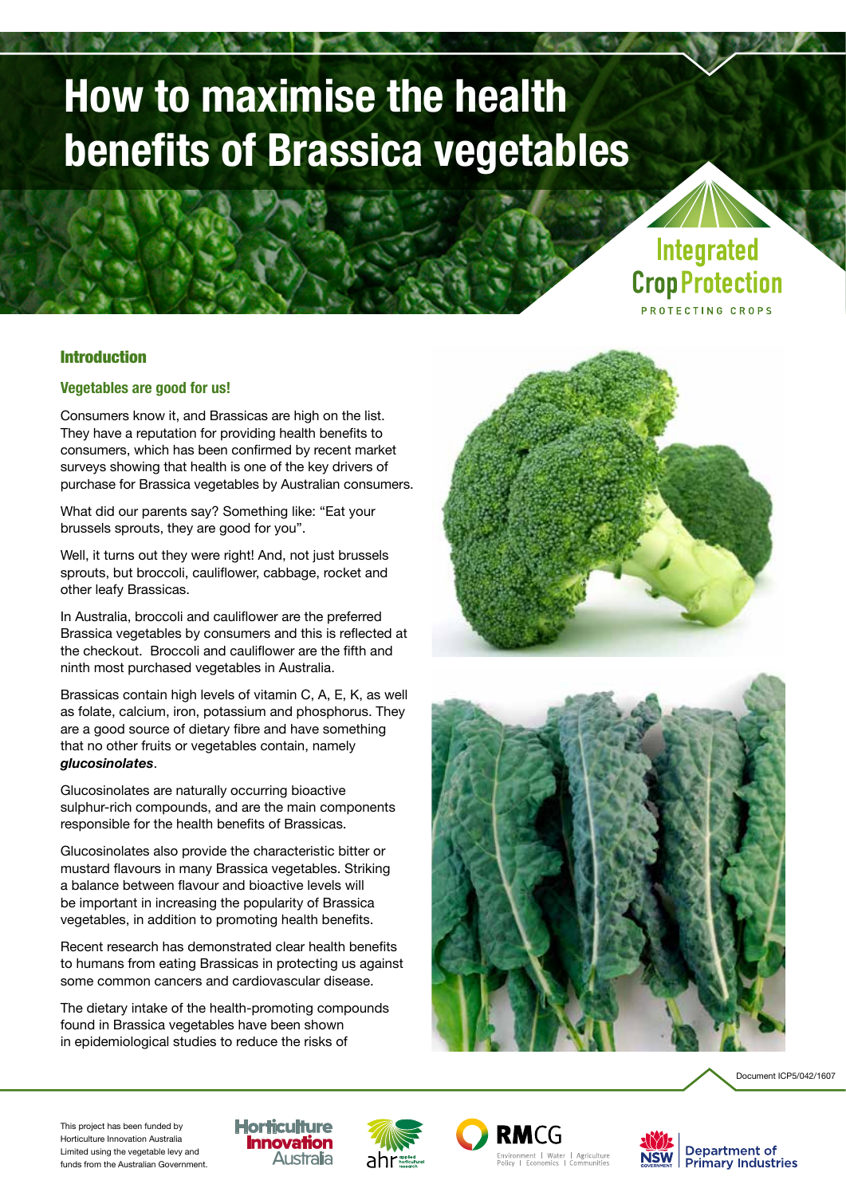# **How to maximise the health benefits of Brassica vegetables**

# Integrated **Crop Protection PROTECTING CROPS**

# Introduction

# **Vegetables are good for us!**

Consumers know it, and Brassicas are high on the list. They have a reputation for providing health benefits to consumers, which has been confirmed by recent market surveys showing that health is one of the key drivers of purchase for Brassica vegetables by Australian consumers.

What did our parents say? Something like: "Eat your brussels sprouts, they are good for you".

Well, it turns out they were right! And, not just brussels sprouts, but broccoli, cauliflower, cabbage, rocket and other leafy Brassicas.

In Australia, broccoli and cauliflower are the preferred Brassica vegetables by consumers and this is reflected at the checkout. Broccoli and cauliflower are the fifth and ninth most purchased vegetables in Australia.

Brassicas contain high levels of vitamin C, A, E, K, as well as folate, calcium, iron, potassium and phosphorus. They are a good source of dietary fibre and have something that no other fruits or vegetables contain, namely *glucosinolates*.

Glucosinolates are naturally occurring bioactive sulphur-rich compounds, and are the main components responsible for the health benefits of Brassicas.

Glucosinolates also provide the characteristic bitter or mustard flavours in many Brassica vegetables. Striking a balance between flavour and bioactive levels will be important in increasing the popularity of Brassica vegetables, in addition to promoting health benefits.

Recent research has demonstrated clear health benefits to humans from eating Brassicas in protecting us against some common cancers and cardiovascular disease.

The dietary intake of the health-promoting compounds found in Brassica vegetables have been shown in epidemiological studies to reduce the risks of







This project has been funded by Horticulture Innovation Australia Limited using the vegetable levy and funds from the Australian Government.





RMCG nvironment | Water | Agriculture<br>Jolicy | Economics | Communities

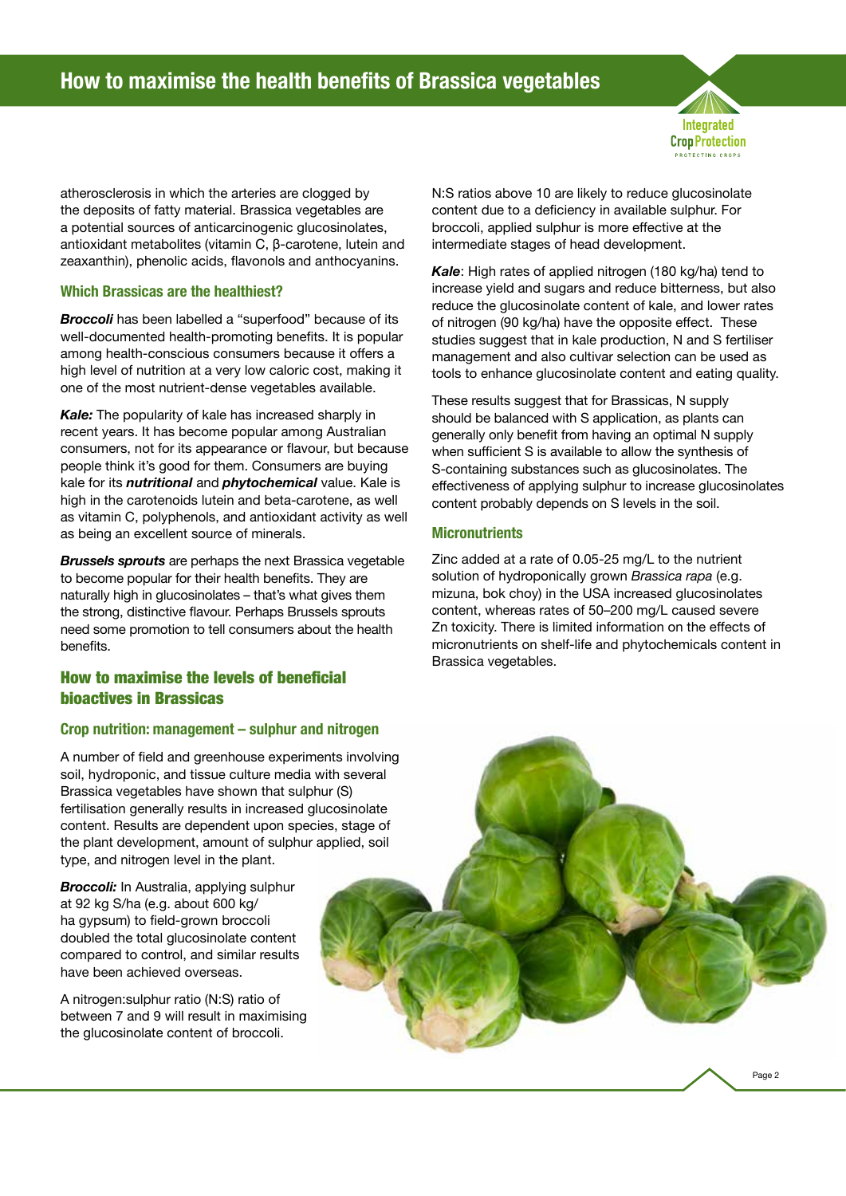

atherosclerosis in which the arteries are clogged by the deposits of fatty material. Brassica vegetables are a potential sources of anticarcinogenic glucosinolates, antioxidant metabolites (vitamin C, β-carotene, lutein and zeaxanthin), phenolic acids, flavonols and anthocyanins.

## **Which Brassicas are the healthiest?**

*Broccoli* has been labelled a "superfood" because of its well-documented health-promoting benefits. It is popular among health-conscious consumers because it offers a high level of nutrition at a very low caloric cost, making it one of the most nutrient-dense vegetables available.

*Kale:* The popularity of kale has increased sharply in recent years. It has become popular among Australian consumers, not for its appearance or flavour, but because people think it's good for them. Consumers are buying kale for its *nutritional* and *phytochemical* value. Kale is high in the carotenoids lutein and beta-carotene, as well as vitamin C, polyphenols, and antioxidant activity as well as being an excellent source of minerals.

*Brussels sprouts* are perhaps the next Brassica vegetable to become popular for their health benefits. They are naturally high in glucosinolates – that's what gives them the strong, distinctive flavour. Perhaps Brussels sprouts need some promotion to tell consumers about the health benefits.

# How to maximise the levels of beneficial bioactives in Brassicas

## **Crop nutrition: management – sulphur and nitrogen**

A number of field and greenhouse experiments involving soil, hydroponic, and tissue culture media with several Brassica vegetables have shown that sulphur (S) fertilisation generally results in increased glucosinolate content. Results are dependent upon species, stage of the plant development, amount of sulphur applied, soil type, and nitrogen level in the plant.

*Broccoli:* In Australia, applying sulphur at 92 kg S/ha (e.g. about 600 kg/ ha gypsum) to field-grown broccoli doubled the total glucosinolate content compared to control, and similar results have been achieved overseas.

A nitrogen:sulphur ratio (N:S) ratio of between 7 and 9 will result in maximising the glucosinolate content of broccoli.

N:S ratios above 10 are likely to reduce glucosinolate content due to a deficiency in available sulphur. For broccoli, applied sulphur is more effective at the intermediate stages of head development.

*Kale*: High rates of applied nitrogen (180 kg/ha) tend to increase yield and sugars and reduce bitterness, but also reduce the glucosinolate content of kale, and lower rates of nitrogen (90 kg/ha) have the opposite effect. These studies suggest that in kale production. N and S fertiliser management and also cultivar selection can be used as tools to enhance glucosinolate content and eating quality.

These results suggest that for Brassicas, N supply should be balanced with S application, as plants can generally only benefit from having an optimal N supply when sufficient S is available to allow the synthesis of S-containing substances such as glucosinolates. The effectiveness of applying sulphur to increase glucosinolates content probably depends on S levels in the soil.

# **Micronutrients**

Zinc added at a rate of 0.05-25 mg/L to the nutrient solution of hydroponically grown *Brassica rapa* (e.g. mizuna, bok choy) in the USA increased glucosinolates content, whereas rates of 50–200 mg/L caused severe Zn toxicity. There is limited information on the effects of micronutrients on shelf-life and phytochemicals content in Brassica vegetables.

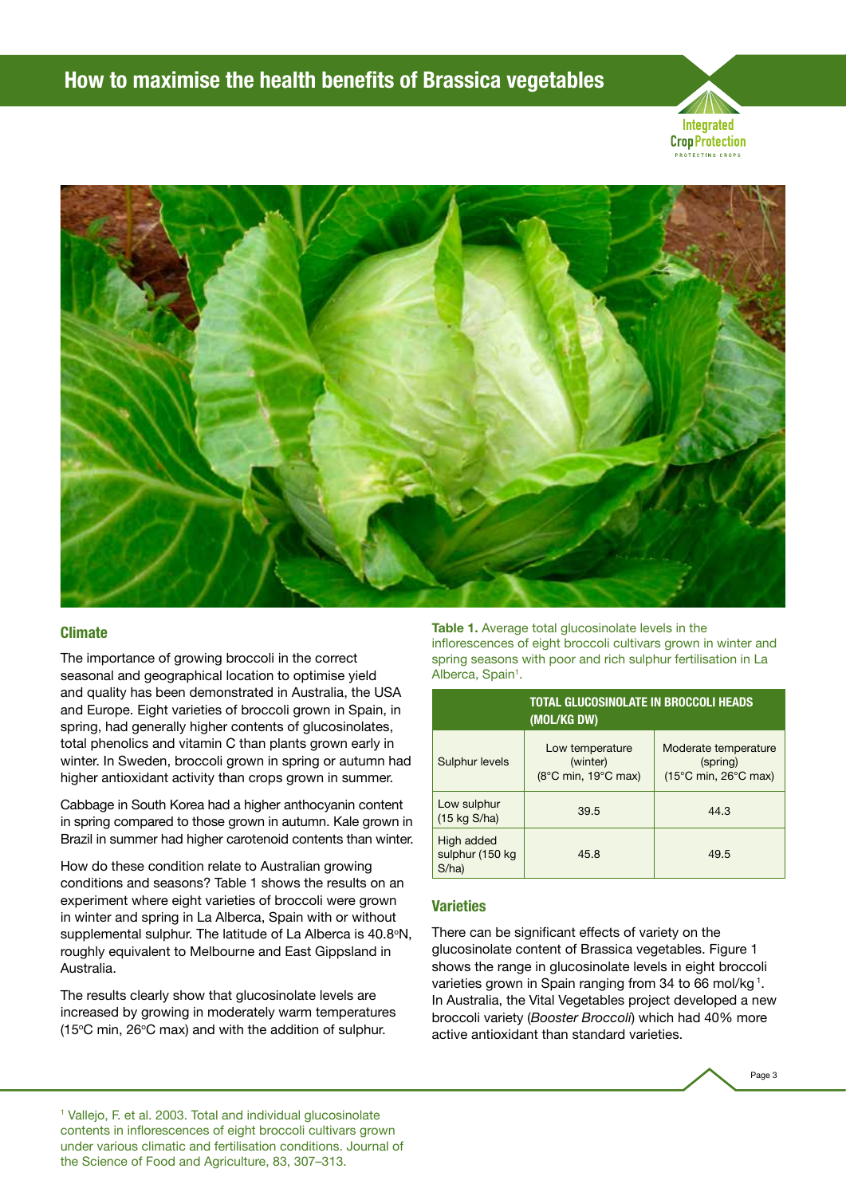



#### **Climate**

The importance of growing broccoli in the correct seasonal and geographical location to optimise yield and quality has been demonstrated in Australia, the USA and Europe. Eight varieties of broccoli grown in Spain, in spring, had generally higher contents of glucosinolates, total phenolics and vitamin C than plants grown early in winter. In Sweden, broccoli grown in spring or autumn had higher antioxidant activity than crops grown in summer.

Cabbage in South Korea had a higher anthocyanin content in spring compared to those grown in autumn. Kale grown in Brazil in summer had higher carotenoid contents than winter.

How do these condition relate to Australian growing conditions and seasons? Table 1 shows the results on an experiment where eight varieties of broccoli were grown in winter and spring in La Alberca, Spain with or without supplemental sulphur. The latitude of La Alberca is 40.8°N, roughly equivalent to Melbourne and East Gippsland in Australia.

The results clearly show that glucosinolate levels are increased by growing in moderately warm temperatures (15 $\degree$ C min, 26 $\degree$ C max) and with the addition of sulphur.

Table 1. Average total glucosinolate levels in the inflorescences of eight broccoli cultivars grown in winter and spring seasons with poor and rich sulphur fertilisation in La Alberca, Spain<sup>1</sup>.

| TOTAL GLUCOSINOLATE IN BROCCOLI HEADS<br>(MOL/KG DW) |                                                                         |                                                          |
|------------------------------------------------------|-------------------------------------------------------------------------|----------------------------------------------------------|
| Sulphur levels                                       | Low temperature<br>(winter)<br>$(8^{\circ}$ C min, 19 $^{\circ}$ C max) | Moderate temperature<br>(spring)<br>(15°C min, 26°C max) |
| Low sulphur<br>$(15 \text{ kg } S/ha)$               | 39.5                                                                    | 44.3                                                     |
| High added<br>sulphur (150 kg)<br>S/ha               | 45.8                                                                    | 49.5                                                     |

#### **Varieties**

There can be significant effects of variety on the glucosinolate content of Brassica vegetables. Figure 1 shows the range in glucosinolate levels in eight broccoli varieties grown in Spain ranging from 34 to 66 mol/kg<sup>1</sup>. In Australia, the Vital Vegetables project developed a new broccoli variety (*Booster Broccoli*) which had 40% more active antioxidant than standard varieties.